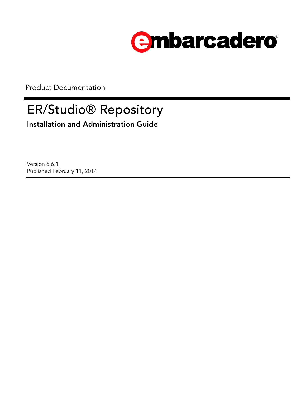

Product Documentation

# ER/Studio® Repository

Installation and Administration Guide

Version 6.6.1 Published February 11, 2014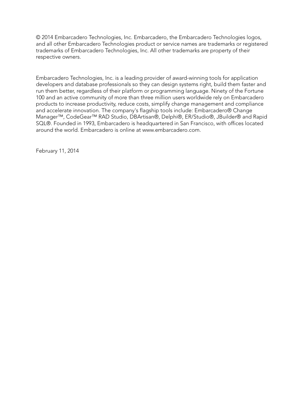© 2014 Embarcadero Technologies, Inc. Embarcadero, the Embarcadero Technologies logos, and all other Embarcadero Technologies product or service names are trademarks or registered trademarks of Embarcadero Technologies, Inc. All other trademarks are property of their respective owners.

Embarcadero Technologies, Inc. is a leading provider of award-winning tools for application developers and database professionals so they can design systems right, build them faster and run them better, regardless of their platform or programming language. Ninety of the Fortune 100 and an active community of more than three million users worldwide rely on Embarcadero products to increase productivity, reduce costs, simplify change management and compliance and accelerate innovation. The company's flagship tools include: Embarcadero® Change Manager™, CodeGear™ RAD Studio, DBArtisan®, Delphi®, ER/Studio®, JBuilder® and Rapid SQL®. Founded in 1993, Embarcadero is headquartered in San Francisco, with offices located around the world. Embarcadero is online at www.embarcadero.com.

February 11, 2014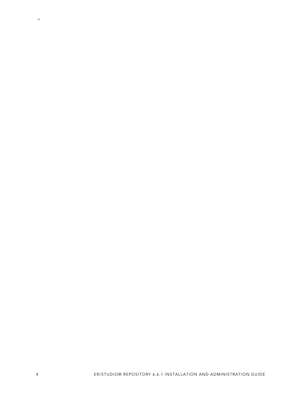$\, > \,$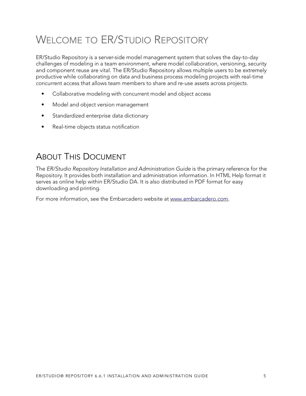# <span id="page-4-0"></span>WELCOME TO ER/STUDIO REPOSITORY

ER/Studio Repository is a server-side model management system that solves the day-to-day challenges of modeling in a team environment, where model collaboration, versioning, security and component reuse are vital. The ER/Studio Repository allows multiple users to be extremely productive while collaborating on data and business process modeling projects with real-time concurrent access that allows team members to share and re-use assets across projects.

- Collaborative modeling with concurrent model and object access
- Model and object version management
- Standardized enterprise data dictionary
- Real-time objects status notification

# <span id="page-4-1"></span>ABOUT THIS DOCUMENT

The ER/Studio Repository Installation and Administration Guide is the primary reference for the Repository. It provides both installation and administration information. In HTML Help format it serves as online help within ER/Studio DA. It is also distributed in PDF format for easy downloading and printing.

[For more information, see the Embarcadero website at w](www.embarcadero.com)ww.embarcadero.com.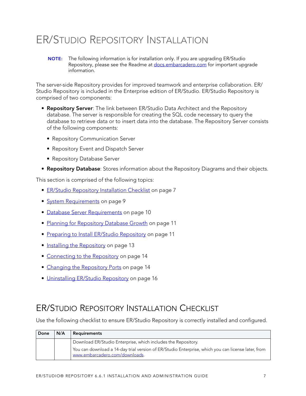# <span id="page-6-0"></span>ER/STUDIO REPOSITORY INSTALLATION

NOTE: The following information is for installation only. If you are upgrading ER/Studio Repository, please see the Readme at [docs.embarcadero.com](http://docs.embarcadero.com) for important upgrade information.

The server-side Repository provides for improved teamwork and enterprise collaboration. ER/ Studio Repository is included in the Enterprise edition of ER/Studio. ER/Studio Repository is comprised of two components:

- Repository Server: The link between ER/Studio Data Architect and the Repository database. The server is responsible for creating the SQL code necessary to query the database to retrieve data or to insert data into the database. The Repository Server consists of the following components:
	- Repository Communication Server
	- Repository Event and Dispatch Server
	- Repository Database Server
- **Repository Database**: Stores information about the Repository Diagrams and their objects.

This section is comprised of the following topics:

- [ER/Studio Repository Installation Checklist on page](#page-6-1) 7
- [System Requirements on page](#page-8-0) 9
- [Database Server Requirements on page](#page-9-0) 10
- [Planning for Repository Database Growth on page](#page-10-0) 11
- [Preparing to Install ER/Studio Repository on page](#page-10-1) 11
- [Installing the Repository on page](#page-12-0) 13
- [Connecting to the Repository on page](#page-13-0) 14
- [Changing the Repository Ports on page](#page-13-1) 14
- [Uninstalling ER/Studio Repository on page](#page-15-0) 16

# <span id="page-6-1"></span>ER/STUDIO REPOSITORY INSTALLATION CHECKLIST

Use the following checklist to ensure ER/Studio Repository is correctly installed and configured.

| Done | N/A | Requirements                                                                                                                         |
|------|-----|--------------------------------------------------------------------------------------------------------------------------------------|
|      |     | Download ER/Studio Enterprise, which includes the Repository.                                                                        |
|      |     | You can download a 14-day trial version of ER/Studio Enterprise, which you can license later, from<br>www.embarcadero.com/downloads. |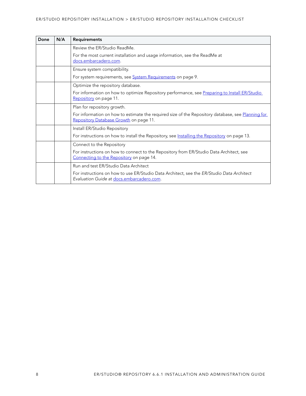| Done | N/A | Requirements                                                                                                                                |
|------|-----|---------------------------------------------------------------------------------------------------------------------------------------------|
|      |     | Review the ER/Studio ReadMe.                                                                                                                |
|      |     | For the most current installation and usage information, see the ReadMe at<br>docs.embarcadero.com.                                         |
|      |     | Ensure system compatibility.                                                                                                                |
|      |     | For system requirements, see <b>System Requirements</b> on page 9.                                                                          |
|      |     | Optimize the repository database.                                                                                                           |
|      |     | For information on how to optimize Repository performance, see Preparing to Install ER/Studio<br>Repository on page 11.                     |
|      |     | Plan for repository growth.                                                                                                                 |
|      |     | For information on how to estimate the required size of the Repository database, see Planning for<br>Repository Database Growth on page 11. |
|      |     | Install ER/Studio Repository                                                                                                                |
|      |     | For instructions on how to install the Repository, see Installing the Repository on page 13.                                                |
|      |     | Connect to the Repository                                                                                                                   |
|      |     | For instructions on how to connect to the Repository from ER/Studio Data Architect, see<br>Connecting to the Repository on page 14.         |
|      |     | Run and test ER/Studio Data Architect                                                                                                       |
|      |     | For instructions on how to use ER/Studio Data Architect, see the ER/Studio Data Architect<br>Evaluation Guide at docs.embarcadero.com.      |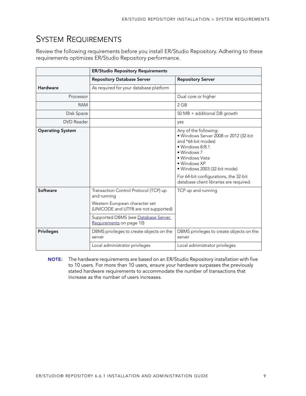# <span id="page-8-0"></span>SYSTEM REQUIREMENTS

Review the following requirements before you install ER/Studio Repository. Adhering to these requirements optimizes ER/Studio Repository performance.

|                         | <b>ER/Studio Repository Requirements</b>                                                                                       |                                                                                                                                                                                                   |  |
|-------------------------|--------------------------------------------------------------------------------------------------------------------------------|---------------------------------------------------------------------------------------------------------------------------------------------------------------------------------------------------|--|
|                         | <b>Repository Database Server</b>                                                                                              | <b>Repository Server</b>                                                                                                                                                                          |  |
| <b>Hardware</b>         | As required for your database platform                                                                                         |                                                                                                                                                                                                   |  |
| Processor               |                                                                                                                                | Dual core or higher                                                                                                                                                                               |  |
| <b>RAM</b>              |                                                                                                                                | 2 GB                                                                                                                                                                                              |  |
| Disk Space              |                                                                                                                                | 50 MB + additional DB growth                                                                                                                                                                      |  |
| DVD Reader              |                                                                                                                                | yes                                                                                                                                                                                               |  |
| <b>Operating System</b> |                                                                                                                                | Any of the following:<br>· Windows Server 2008 or 2012 (32-bit<br>and *64-bit modes)<br>$\bullet$ Windows 8/8.1<br>• Windows 7<br>• Windows Vista<br>• Windows XP<br>· Windows 2003 (32-bit mode) |  |
|                         |                                                                                                                                | For 64-bit configurations, the 32-bit<br>database client libraries are required.                                                                                                                  |  |
| Software                | Transaction Control Protocol (TCP) up<br>and running<br>Western European character set<br>(UNICODE and UTF8 are not supported) | TCP up and running                                                                                                                                                                                |  |
|                         | Supported DBMS (see Database Server<br>Requirements on page 10)                                                                |                                                                                                                                                                                                   |  |
| <b>Privileges</b>       | DBMS privileges to create objects on the<br>server                                                                             | DBMS privileges to create objects on the<br>server                                                                                                                                                |  |
|                         | Local administrator privileges                                                                                                 | Local administrator privileges                                                                                                                                                                    |  |

NOTE: The hardware requirements are based on an ER/Studio Repository installation with five to 10 users. For more than 10 users, ensure your hardware surpasses the previously stated hardware requirements to accommodate the number of transactions that increase as the number of users increases.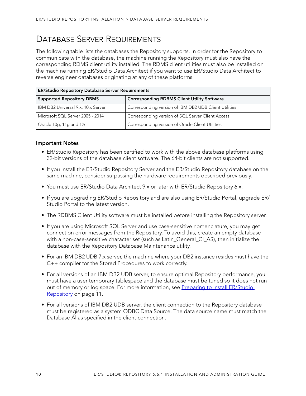# <span id="page-9-1"></span><span id="page-9-0"></span>DATABASE SERVER REQUIREMENTS

The following table lists the databases the Repository supports. In order for the Repository to communicate with the database, the machine running the Repository must also have the corresponding RDMS client utility installed. The RDMS client utilities must also be installed on the machine running ER/Studio Data Architect if you want to use ER/Studio Data Architect to reverse engineer databases originating at any of these platforms.

| <b>ER/Studio Repository Database Server Requirements</b> |                                                       |  |
|----------------------------------------------------------|-------------------------------------------------------|--|
| <b>Supported Repository DBMS</b>                         | <b>Corresponding RDBMS Client Utility Software</b>    |  |
| IBM DB2 Universal 9.x, 10.x Server                       | Corresponding version of IBM DB2 UDB Client Utilities |  |
| Microsoft SQL Server 2005 - 2014                         | Corresponding version of SQL Server Client Access     |  |
| Oracle 10g, 11g and 12c                                  | Corresponding version of Oracle Client Utilities      |  |

#### Important Notes

- ER/Studio Repository has been certified to work with the above database platforms using 32-bit versions of the database client software. The 64-bit clients are not supported.
- If you install the ER/Studio Repository Server and the ER/Studio Repository database on the same machine, consider surpassing the hardware requirements described previously.
- You must use ER/Studio Data Architect 9.x or later with ER/Studio Repository 6.x.
- If you are upgrading ER/Studio Repository and are also using ER/Studio Portal, upgrade ER/ Studio Portal to the latest version.
- The RDBMS Client Utility software must be installed before installing the Repository server.
- If you are using Microsoft SQL Server and use case-sensitive nomenclature, you may get connection error messages from the Repository. To avoid this, create an empty database with a non-case-sensitive character set (such as Latin\_General\_CI\_AS), then initialize the database with the Repository Database Maintenance utility.
- For an IBM DB2 UDB 7.x server, the machine where your DB2 instance resides must have the C++ compiler for the Stored Procedures to work correctly.
- For all versions of an IBM DB2 UDB server, to ensure optimal Repository performance, you must have a user temporary tablespace and the database must be tuned so it does not run out of memory or log space. For more information, see Preparing to Install ER/Studio [Repository on page](#page-10-1) 11.
- For all versions of IBM DB2 UDB server, the client connection to the Repository database must be registered as a system ODBC Data Source. The data source name must match the Database Alias specified in the client connection.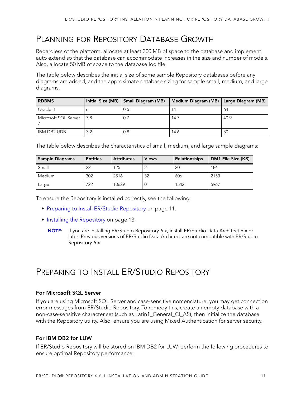# <span id="page-10-0"></span>PLANNING FOR REPOSITORY DATABASE GROWTH

Regardless of the platform, allocate at least 300 MB of space to the database and implement auto extend so that the database can accommodate increases in the size and number of models. Also, allocate 50 MB of space to the database log file.

The table below describes the initial size of some sample Repository databases before any diagrams are added, and the approximate database sizing for sample small, medium, and large diagrams.

| <b>RDBMS</b>         | Initial Size (MB) | Small Diagram (MB) | <b>Medium Diagram (MB)</b> | Large Diagram (MB) |
|----------------------|-------------------|--------------------|----------------------------|--------------------|
| Oracle 8             |                   | 0.5                | 14                         | 64                 |
| Microsoft SQL Server | 7.8               | 0.7                | 14.7                       | 40.9               |
| <b>IBM DB2 UDB</b>   | 3.2               | 0.8                | 14.6                       | 50                 |

The table below describes the characteristics of small, medium, and large sample diagrams:

| <b>Sample Diagrams</b> | <b>Entities</b> | <b>Attributes</b> | <b>Views</b> | <b>Relationships</b> | DM1 File Size (KB) |
|------------------------|-----------------|-------------------|--------------|----------------------|--------------------|
| Small                  | 22              | 125               |              | 20                   | 184                |
| Medium                 | 302             | 2516              | 32           | 606                  | 2153               |
| Large                  | 722.            | 10629             |              | 1542                 | 6967               |

To ensure the Repository is installed correctly, see the following:

- [Preparing to Install ER/Studio Repository on page](#page-10-1) 11.
- [Installing the Repository on page](#page-12-0) 13.
	- NOTE: If you are installing ER/Studio Repository 6.x, install ER/Studio Data Architect 9.x or later. Previous versions of ER/Studio Data Architect are not compatible with ER/Studio Repository 6.x.

# <span id="page-10-1"></span>PREPARING TO INSTALL ER/STUDIO REPOSITORY

## For Microsoft SQL Server

If you are using Microsoft SQL Server and case-sensitive nomenclature, you may get connection error messages from ER/Studio Repository. To remedy this, create an empty database with a non-case-sensitive character set (such as Latin1\_General\_CI\_AS), then initialize the database with the Repository utility. Also, ensure you are using Mixed Authentication for server security.

## For IBM DB2 for LUW

If ER/Studio Repository will be stored on IBM DB2 for LUW, perform the following procedures to ensure optimal Repository performance: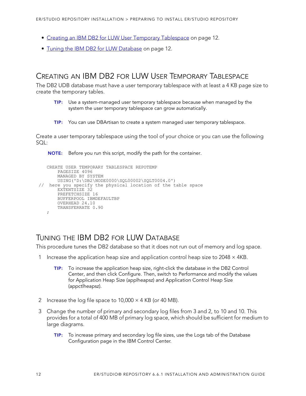- [Creating an IBM DB2 for LUW User Temporary Tablespace on page](#page-11-0) 12.
- [Tuning the IBM DB2 for LUW Database on page](#page-11-1) 12.

## <span id="page-11-0"></span>CREATING AN IBM DB2 FOR LUW USER TEMPORARY TABLESPACE

The DB2 UDB database must have a user temporary tablespace with at least a 4 KB page size to create the temporary tables.

- TIP: Use a system-managed user temporary tablespace because when managed by the system the user temporary tablespace can grow automatically.
- TIP: You can use DBArtisan to create a system managed user temporary tablespace.

Create a user temporary tablespace using the tool of your choice or you can use the following  $SOL:$ 

NOTE: Before you run this script, modify the path for the container.

```
CREATE USER TEMPORARY TABLESPACE REPOTEMP
        PAGESIZE 4096
        MANAGED BY SYSTEM
       USING('D:\DB2\NODE0000\SQL00002\SQLT0004.0') 
 // here you specify the physical location of the table space 
        EXTENTSIZE 32
        PREFETCHSIZE 16
        BUFFERPOOL IBMDEFAULTBP
        OVERHEAD 24.10
        TRANSFERRATE 0.90
   ;
```
## <span id="page-11-1"></span>TUNING THE IBM DB2 FOR LUW DATABASE

This procedure tunes the DB2 database so that it does not run out of memory and log space.

- 1 Increase the application heap size and application control heap size to 2048  $\times$  4KB.
	- TIP: To increase the application heap size, right-click the database in the DB2 Control Center, and then click Configure. Then, switch to Performance and modify the values for Application Heap Size (applheapsz) and Application Control Heap Size (appctlheapsz).
- 2 Increase the log file space to  $10,000 \times 4$  KB (or 40 MB).
- 3 Change the number of primary and secondary log files from 3 and 2, to 10 and 10. This provides for a total of 400 MB of primary log space, which should be sufficient for medium to large diagrams.
	- TIP: To increase primary and secondary log file sizes, use the Logs tab of the Database Configuration page in the IBM Control Center.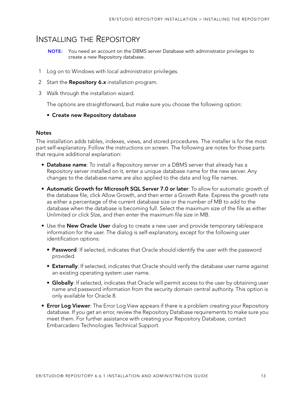## <span id="page-12-0"></span>INSTALLING THE REPOSITORY

NOTE: You need an account on the DBMS server Database with administrator privileges to create a new Repository database.

- 1 Log on to Windows with local administrator privileges.
- 2 Start the Repository 6.x installation program.
- 3 Walk through the installation wizard.

The options are straightforward, but make sure you choose the following option:

## • Create new Repository database

#### **Notes**

The installation adds tables, indexes, views, and stored procedures. The installer is for the most part self-explanatory. Follow the instructions on screen. The following are notes for those parts that require additional explanation:

- **Database name**: To install a Repository server on a DBMS server that already has a Repository server installed on it, enter a unique database name for the new server. Any changes to the database name are also applied to the data and log file names.
- Automatic Growth for Microsoft SQL Server 7.0 or later: To allow for automatic growth of the database file, click Allow Growth, and then enter a Growth Rate. Express the growth rate as either a percentage of the current database size or the number of MB to add to the database when the database is becoming full. Select the maximum size of the file as either Unlimited or click SIze, and then enter the maximum file size in MB.
- Use the **New Oracle User** dialog to create a new user and provide temporary tablespace information for the user. The dialog is self-explanatory, except for the following user identification options:
	- Password: If selected, indicates that Oracle should identify the user with the password provided.
	- **Externally**: If selected, indicates that Oracle should verify the database user name against an existing operating system user name.
	- Globally: If selected, indicates that Oracle will permit access to the user by obtaining user name and password information from the security domain central authority. This option is only available for Oracle 8.
- Error Log Viewer: The Error Log View appears if there is a problem creating your Repository database. If you get an error, review the Repository Database requirements to make sure you meet them. For further assistance with creating your Repository Database, contact Embarcadero Technologies Technical Support.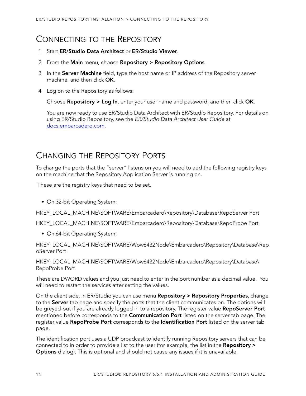# <span id="page-13-0"></span>CONNECTING TO THE REPOSITORY

- 1 Start ER/Studio Data Architect or ER/Studio Viewer.
- 2 From the Main menu, choose Repository > Repository Options.
- 3 In the Server Machine field, type the host name or IP address of the Repository server machine, and then click OK.
- 4 Log on to the Repository as follows:

Choose **Repository > Log In**, enter your user name and password, and then click  $OK$ .

You are now ready to use ER/Studio Data Architect with ER/Studio Repository. For details on using ER/Studio Repository, see the ER/Studio Data Architect User Guide at [docs.embarcadero.com](http://docs.embarcadero.com).

# <span id="page-13-1"></span>CHANGING THE REPOSITORY PORTS

To change the ports that the "server" listens on you will need to add the following registry keys on the machine that the Repository Application Server is running on.

These are the registry keys that need to be set.

• On 32-bit Operating System:

HKEY\_LOCAL\_MACHINE\SOFTWARE\Embarcadero\Repository\Database\RepoServer Port

HKEY\_LOCAL\_MACHINE\SOFTWARE\Embarcadero\Repository\Database\RepoProbe Port

• On 64-bit Operating System:

HKEY\_LOCAL\_MACHINE\SOFTWARE\Wow6432Node\Embarcadero\Repository\Database\Rep oServer Port

HKEY\_LOCAL\_MACHINE\SOFTWARE\Wow6432Node\Embarcadero\Repository\Database\ RepoProbe Port

These are DWORD values and you just need to enter in the port number as a decimal value. You will need to restart the services after setting the values.

On the client side, in ER/Studio you can use menu **Repository > Repository Properties**, change to the Server tab page and specify the ports that the client communicates on. The options will be greyed-out if you are already logged in to a repository. The register value RepoServer Port mentioned before corresponds to the **Communication Port** listed on the server tab page. The register value RepoProbe Port corresponds to the Identification Port listed on the server tab page.

The identification port uses a UDP broadcast to identify running Repository servers that can be connected to in order to provide a list to the user (for example, the list in the **Repository >** Options dialog). This is optional and should not cause any issues if it is unavailable.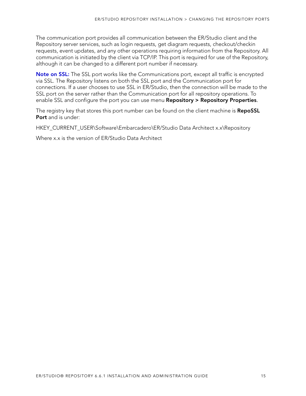The communication port provides all communication between the ER/Studio client and the Repository server services, such as login requests, get diagram requests, checkout/checkin requests, event updates, and any other operations requiring information from the Repository. All communication is initiated by the client via TCP/IP. This port is required for use of the Repository, although it can be changed to a different port number if necessary.

Note on SSL: The SSL port works like the Communications port, except all traffic is encrypted via SSL. The Repository listens on both the SSL port and the Communication port for connections. If a user chooses to use SSL in ER/Studio, then the connection will be made to the SSL port on the server rather than the Communication port for all repository operations. To enable SSL and configure the port you can use menu Repository > Repository Properties.

The registry key that stores this port number can be found on the client machine is **RepoSSL** Port and is under:

HKEY\_CURRENT\_USER\Software\Embarcadero\ER/Studio Data Architect x.x\Repository

Where x.x is the version of ER/Studio Data Architect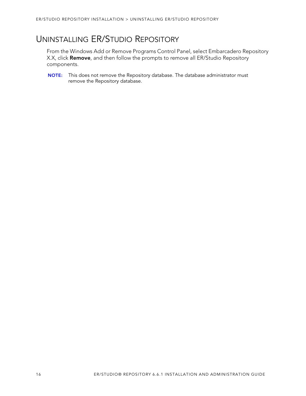# <span id="page-15-0"></span>UNINSTALLING ER/STUDIO REPOSITORY

From the Windows Add or Remove Programs Control Panel, select Embarcadero Repository X.X, click Remove, and then follow the prompts to remove all ER/Studio Repository components.

NOTE: This does not remove the Repository database. The database administrator must remove the Repository database.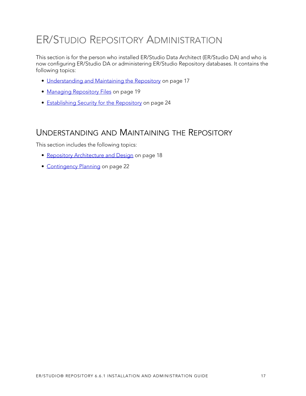# <span id="page-16-0"></span>ER/STUDIO REPOSITORY ADMINISTRATION

This section is for the person who installed ER/Studio Data Architect (ER/Studio DA) and who is now configuring ER/Studio DA or administering ER/Studio Repository databases. It contains the following topics:

- [Understanding and Maintaining the Repository on page](#page-16-1) 17
- [Managing Repository Files on page](#page-18-2) 19
- [Establishing Security for the Repository on page](#page-23-1) 24

## <span id="page-16-1"></span>UNDERSTANDING AND MAINTAINING THE REPOSITORY

This section includes the following topics:

- [Repository Architecture and Design on page](#page-17-0) 18
- [Contingency Planning on page](#page-21-0) 22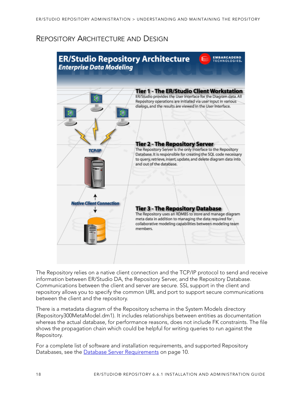# <span id="page-17-0"></span>REPOSITORY ARCHITECTURE AND DESIGN



The Repository relies on a native client connection and the TCP/IP protocol to send and receive information between ER/Studio DA, the Repository Server, and the Repository Database. Communications between the client and server are secure. SSL support in the client and repository allows you to specify the common URL and port to support secure communications between the client and the repository.

There is a metadata diagram of the Repository schema in the System Models directory (Repository300MetaModel.dm1). It includes relationships between entities as documentation whereas the actual database, for performance reasons, does not include FK constraints. The file shows the propagation chain which could be helpful for writing queries to run against the Repository.

For a complete list of software and installation requirements, and supported Repository Databases, see the **Database Server Requirements** on page 10.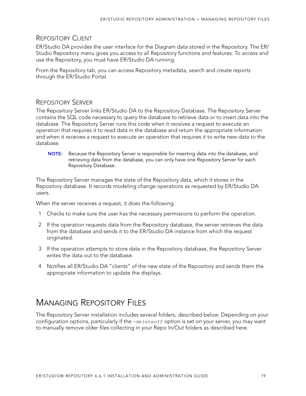## <span id="page-18-0"></span>REPOSITORY CLIENT

ER/Studio DA provides the user interface for the Diagram data stored in the Repository. The ER/ Studio Repository menu gives you access to all Repository functions and features. To access and use the Repository, you must have ER/Studio DA running.

From the Repository tab, you can access Repository metadata, search and create reports through the ER/Studio Portal.

## <span id="page-18-1"></span>REPOSITORY SERVER

The Repository Server links ER/Studio DA to the Repository Database. The Repository Server contains the SQL code necessary to query the database to retrieve data or to insert data into the database. The Repository Server runs this code when it receives a request to execute an operation that requires it to read data in the database and return the appropriate information and when it receives a request to execute an operation that requires it to write new data to the database.

NOTE: Because the Repository Server is responsible for inserting data into the database, and retrieving data from the database, you can only have one Repository Server for each Repository Database.

The Repository Server manages the state of the Repository data, which it stores in the Repository database. It records modeling change operations as requested by ER/Studio DA users.

When the server receives a request, it does the following:

- 1 Checks to make sure the user has the necessary permissions to perform the operation.
- 2 If the operation requests data from the Repository database, the server retrieves the data from the database and sends it to the ER/Studio DA instance from which the request originated.
- 3 If the operation attempts to store data in the Repository database, the Repository Server writes the data out to the database.
- 4 Notifies all ER/Studio DA "clients" of the new state of the Repository and sends them the appropriate information to update the displays.

# <span id="page-18-2"></span>MANAGING REPOSITORY FILES

The Repository Server installation includes several folders, described below. Depending on your configuration options, particularly if the -deleteoff option is set on your server, you may want to manually remove older files collecting in your Repo In/Out folders as described here.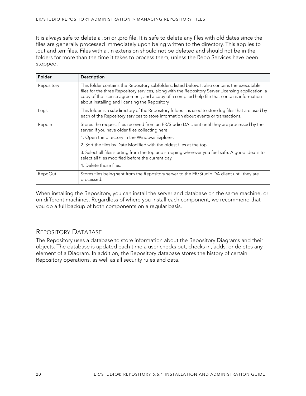It is always safe to delete a .pri or .pro file. It is safe to delete any files with old dates since the files are generally processed immediately upon being written to the directory. This applies to .out and .err files. Files with a .in extension should not be deleted and should not be in the folders for more than the time it takes to process them, unless the Repo Services have been stopped.

| Folder     | <b>Description</b>                                                                                                                                                                                                                                                                                                                                   |  |
|------------|------------------------------------------------------------------------------------------------------------------------------------------------------------------------------------------------------------------------------------------------------------------------------------------------------------------------------------------------------|--|
| Repository | This folder contains the Repository subfolders, listed below. It also contains the executable<br>files for the three Repository services, along with the Repository Server Licensing application, a<br>copy of the license agreement, and a copy of a compiled help file that contains information<br>about installing and licensing the Repository. |  |
| Logs       | This folder is a subdirectory of the Repository folder. It is used to store log files that are used by<br>each of the Repository services to store information about events or transactions.                                                                                                                                                         |  |
| Repoln     | Stores the request files received from an ER/Studio DA client until they are processed by the<br>server. If you have older files collecting here:                                                                                                                                                                                                    |  |
|            | 1. Open the directory in the Windows Explorer.                                                                                                                                                                                                                                                                                                       |  |
|            | 2. Sort the files by Date Modified with the oldest files at the top.                                                                                                                                                                                                                                                                                 |  |
|            | 3. Select all files starting from the top and stopping wherever you feel safe. A good idea is to<br>select all files modified before the current day.                                                                                                                                                                                                |  |
|            | 4. Delete those files.                                                                                                                                                                                                                                                                                                                               |  |
| RepoOut    | Stores files being sent from the Repository server to the ER/Studio DA client until they are<br>processed.                                                                                                                                                                                                                                           |  |

When installing the Repository, you can install the server and database on the same machine, or on different machines. Regardless of where you install each component, we recommend that you do a full backup of both components on a regular basis.

## <span id="page-19-0"></span>REPOSITORY DATABASE

The Repository uses a database to store information about the Repository Diagrams and their objects. The database is updated each time a user checks out, checks in, adds, or deletes any element of a Diagram. In addition, the Repository database stores the history of certain Repository operations, as well as all security rules and data.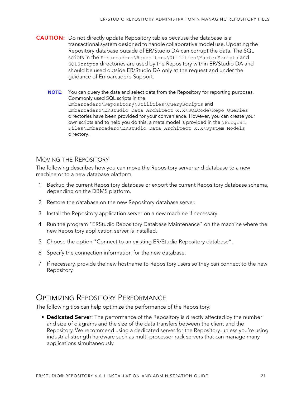- **CAUTION:** Do not directly update Repository tables because the database is a transactional system designed to handle collaborative model use. Updating the Repository database outside of ER/Studio DA can corrupt the data. The SQL scripts in the Embarcadero\Repository\Utilities\MasterScripts and SQLScripts directories are used by the Repository within ER/Studio DA and should be used outside ER/Studio DA only at the request and under the guidance of Embarcadero Support.
	- NOTE: You can query the data and select data from the Repository for reporting purposes. Commonly used SQL scripts in the Embarcadero\Repository\Utilities\QueryScripts and Embarcadero\ERStudio Data Architect X.X\SQLCode\Repo\_Queries directories have been provided for your convenience. However, you can create your own scripts and to help you do this, a meta model is provided in the \Program Files\Embarcadero\ERStudio Data Architect X.X\System Models directory.

## <span id="page-20-0"></span>MOVING THE REPOSITORY

The following describes how you can move the Repository server and database to a new machine or to a new database platform.

- 1 Backup the current Repository database or export the current Repository database schema, depending on the DBMS platform.
- 2 Restore the database on the new Repository database server.
- 3 Install the Repository application server on a new machine if necessary.
- 4 Run the program "ERStudio Repository Database Maintenance" on the machine where the new Repository application server is installed.
- 5 Choose the option "Connect to an existing ER/Studio Repository database".
- 6 Specify the connection information for the new database.
- 7 If necessary, provide the new hostname to Repository users so they can connect to the new Repository.

## <span id="page-20-1"></span>OPTIMIZING REPOSITORY PERFORMANCE

The following tips can help optimize the performance of the Repository:

• Dedicated Server: The performance of the Repository is directly affected by the number and size of diagrams and the size of the data transfers between the client and the Repository. We recommend using a dedicated server for the Repository, unless you're using industrial-strength hardware such as multi-processor rack servers that can manage many applications simultaneously.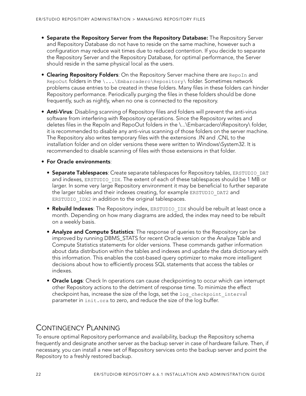- **Separate the Repository Server from the Repository Database:** The Repository Server and Repository Database do not have to reside on the same machine, however such a configuration may reduce wait times due to reduced contention. If you decide to separate the Repository Server and the Repository Database, for optimal performance, the Server should reside in the same physical local as the users.
- **Clearing Repository Folders:** On the Repository Server machine there are RepoIn and RepoOut folders in the  $\ldots$   $Embarcadero\Reepository\ folder. Sometimes network$ problems cause entries to be created in these folders. Many files in these folders can hinder Repository performance. Periodically purging the files in these folders should be done frequently, such as nightly, when no one is connected to the repository.
- **Anti-Virus**: Disabling scanning of Repository files and folders will prevent the anti-virus software from interfering with Repository operations. Since the Repository writes and deletes files in the RepoIn and RepoOut folders in the \...\Embarcadero\Repository\ folder, it is recommended to disable any anti-virus scanning of those folders on the server machine. The Repository also writes temporary files with the extensions .IN and .CNL to the installation folder and on older versions these were written to Windows\System32. It is recommended to disable scanning of files with those extensions in that folder.
- For Oracle environments:
	- Separate Tablespaces: Create separate tablespaces for Repository tables, ERSTUDIO DAT and indexes, ERSTUDIO IDX. The extent of each of these tablespaces should be 1 MB or larger. In some very large Repository environment it may be beneficial to further separate the larger tables and their indexes creating, for example ERSTUDIO\_DAT2 and ERSTUDIO IDX2 in addition to the original tablespaces.
	- Rebuild Indexes: The Repository index, ERSTUDIO IDX should be rebuilt at least once a month. Depending on how many diagrams are added, the index may need to be rebuilt on a weekly basis.
	- Analyze and Compute Statistics: The response of queries to the Repository can be improved by running DBMS\_STATS for recent Oracle version or the Analyze Table and Compute Statistics statements for older versions. These commands gather information about data distribution within the tables and indexes and update the data dictionary with this information. This enables the cost-based query optimizer to make more intelligent decisions about how to efficiently process SQL statements that access the tables or indexes.
	- Oracle Logs: Check In operations can cause checkpointing to occur which can interrupt other Repository actions to the detriment of response time. To minimize the effect checkpoint has, increase the size of the logs, set the log checkpoint interval parameter in init.ora to zero, and reduce the size of the log buffer.

## <span id="page-21-0"></span>CONTINGENCY PLANNING

To ensure optimal Repository performance and availability, backup the Repository schema frequently and designate another server as the backup server in case of hardware failure. Then, if necessary, you can install a new set of Repository services onto the backup server and point the Repository to a freshly restored backup.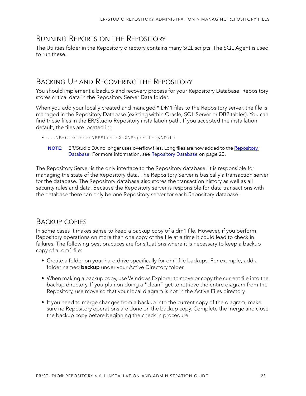## <span id="page-22-0"></span>RUNNING REPORTS ON THE REPOSITORY

The Utilities folder in the Repository directory contains many SQL scripts. The SQL Agent is used to run these.

## <span id="page-22-1"></span>BACKING UP AND RECOVERING THE REPOSITORY

You should implement a backup and recovery process for your Repository Database. Repository stores critical data in the Repository Server Data folder.

When you add your locally created and managed \*.DM1 files to the Repository server, the file is managed in the Repository Database (existing within Oracle, SQL Server or DB2 tables). You can find these files in the ER/Studio Repository installation path. If you accepted the installation default, the files are located in:

- ...\Embarcadero\ERStudioX.X\Repository\Data
	- NOTE: ER/Studio DA no longer uses overflow files. Long files are now added to the Repository [Database.](#page-19-0) For more information, see [Repository Database on page](#page-19-0) 20.

The Repository Server is the only interface to the Repository database. It is responsible for managing the state of the Repository data. The Repository Server is basically a transaction server for the database. The Repository database also stores the transaction history as well as all security rules and data. Because the Repository server is responsible for data transactions with the database there can only be one Repository server for each Repository database.

## <span id="page-22-2"></span>BACKUP COPIES

In some cases it makes sense to keep a backup copy of a dm1 file. However, if you perform Repository operations on more than one copy of the file at a time it could lead to check in failures. The following best practices are for situations where it is necessary to keep a backup copy of a .dm1 file:

- Create a folder on your hard drive specifically for dm1 file backups. For example, add a folder named **backup** under your Active Directory folder.
- When making a backup copy, use Windows Explorer to move or copy the current file into the backup directory. If you plan on doing a "clean" get to retrieve the entire diagram from the Repository, use move so that your local diagram is not in the Active Files directory.
- If you need to merge changes from a backup into the current copy of the diagram, make sure no Repository operations are done on the backup copy. Complete the merge and close the backup copy before beginning the check in procedure.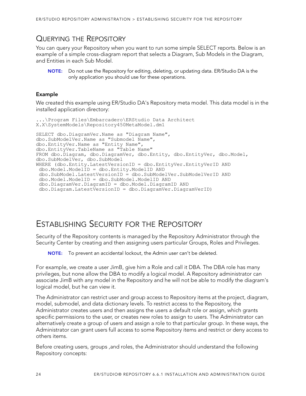## <span id="page-23-0"></span>QUERYING THE REPOSITORY

You can query your Repository when you want to run some simple SELECT reports. Below is an example of a simple cross-diagram report that selects a Diagram, Sub Models in the Diagram, and Entities in each Sub Model.

NOTE: Do not use the Repository for editing, deleting, or updating data. ER/Studio DA is the only application you should use for these operations.

## Example

We created this example using ER/Studio DA's Repository meta model. This data model is in the installed application directory:

```
...\Program Files\Embarcadero\ERStudio Data Architect 
X.X\SystemModels\Repository450MetaModel.dm1
SELECT dbo.DiagramVer.Name as "Diagram Name",
dbo.SubModelVer.Name as "Submodel Name",
dbo.EntityVer.Name as "Entity Name",
dbo.EntityVer.TableName as "Table Name"
FROM dbo.Diagram, dbo.DiagramVer, dbo.Entity, dbo.EntityVer, dbo.Model,
dbo.SubModelVer, dbo.SubModel
WHERE (dbo.Entity.LatestVersionID = dbo.EntityVer.EntityVerID AND 
  dbo.Model.ModelID = dbo.Entity.ModelID AND 
  dbo.SubModel.LatestVersionID = dbo.SubModelVer.SubModelVerID AND 
  dbo.Model.ModelID = dbo.SubModel.ModelID AND 
  dbo.DiagramVer.DiagramID = dbo.Model.DiagramID AND 
  dbo.Diagram.LatestVersionID = dbo.DiagramVer.DiagramVerID)
```
# <span id="page-23-1"></span>ESTABLISHING SECURITY FOR THE REPOSITORY

Security of the Repository contents is managed by the Repository Administrator through the Security Center by creating and then assigning users particular Groups, Roles and Privileges.

**NOTE:** To prevent an accidental lockout, the Admin user can't be deleted.

For example, we create a user JimB, give him a Role and call it DBA. The DBA role has many privileges, but none allow the DBA to modify a logical model. A Repository administrator can associate JimB with any model in the Repository and he will not be able to modify the diagram's logical model, but he can view it.

The Administrator can restrict user and group access to Repository items at the project, diagram, model, submodel, and data dictionary levels. To restrict access to the Repository, the Administrator creates users and then assigns the users a default role or assign, which grants specific permissions to the user, or creates new roles to assign to users. The Administrator can alternatively create a group of users and assign a role to that particular group. In these ways, the Administrator can grant users full access to some Repository items and restrict or deny access to others items.

Before creating users, groups ,and roles, the Administrator should understand the following Repository concepts: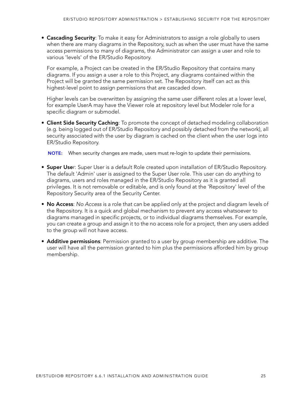**Cascading Security**: To make it easy for Administrators to assign a role globally to users when there are many diagrams in the Repository, such as when the user must have the same access permissions to many of diagrams, the Administrator can assign a user and role to various 'levels' of the ER/Studio Repository.

For example, a Project can be created in the ER/Studio Repository that contains many diagrams. If you assign a user a role to this Project, any diagrams contained within the Project will be granted the same permission set. The Repository itself can act as this highest-level point to assign permissions that are cascaded down.

Higher levels can be overwritten by assigning the same user different roles at a lower level, for example UserA may have the Viewer role at repository level but Modeler role for a specific diagram or submodel.

• Client Side Security Caching: To promote the concept of detached modeling collaboration (e.g. being logged out of ER/Studio Repository and possibly detached from the network), all security associated with the user by diagram is cached on the client when the user logs into ER/Studio Repository.

NOTE: When security changes are made, users must re-login to update their permissions.

- **Super Use**r: Super User is a default Role created upon installation of ER/Studio Repository. The default 'Admin' user is assigned to the Super User role. This user can do anything to diagrams, users and roles managed in the ER/Studio Repository as it is granted all privileges. It is not removable or editable, and is only found at the 'Repository' level of the Repository Security area of the Security Center.
- No Access: No Access is a role that can be applied only at the project and diagram levels of the Repository. It is a quick and global mechanism to prevent any access whatsoever to diagrams managed in specific projects, or to individual diagrams themselves. For example, you can create a group and assign it to the no access role for a project, then any users added to the group will not have access.
- **Additive permissions**: Permission granted to a user by group membership are additive. The user will have all the permission granted to him plus the permissions afforded him by group membership.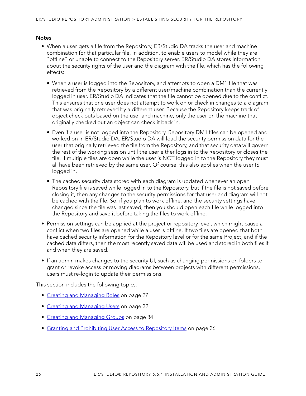#### **Notes**

- When a user gets a file from the Repository, ER/Studio DA tracks the user and machine combination for that particular file. In addition, to enable users to model while they are "offline" or unable to connect to the Repository server, ER/Studio DA stores information about the security rights of the user and the diagram with the file, which has the following effects:
	- When a user is logged into the Repository, and attempts to open a DM1 file that was retrieved from the Repository by a different user/machine combination than the currently logged in user, ER/Studio DA indicates that the file cannot be opened due to the conflict. This ensures that one user does not attempt to work on or check in changes to a diagram that was originally retrieved by a different user. Because the Repository keeps track of object check outs based on the user and machine, only the user on the machine that originally checked out an object can check it back in.
	- Even if a user is not logged into the Repository, Repository DM1 files can be opened and worked on in ER/Studio DA. ER/Studio DA will load the security permission data for the user that originally retrieved the file from the Repository, and that security data will govern the rest of the working session until the user either logs in to the Repository or closes the file. If multiple files are open while the user is NOT logged in to the Repository they must all have been retrieved by the same user. Of course, this also applies when the user IS logged in.
	- The cached security data stored with each diagram is updated whenever an open Repository file is saved while logged in to the Repository, but if the file is not saved before closing it, then any changes to the security permissions for that user and diagram will not be cached with the file. So, if you plan to work offline, and the security settings have changed since the file was last saved, then you should open each file while logged into the Repository and save it before taking the files to work offline.
- Permission settings can be applied at the project or repository level, which might cause a conflict when two files are opened while a user is offline. If two files are opened that both have cached security information for the Repository level or for the same Project, and if the cached data differs, then the most recently saved data will be used and stored in both files if and when they are saved.
- If an admin makes changes to the security UI, such as changing permissions on folders to grant or revoke access or moving diagrams between projects with different permissions, users must re-login to update their permissions.

This section includes the following topics:

- [Creating and Managing Roles on page](#page-26-0) 27
- [Creating and Managing Users on page](#page-31-0) 32
- [Creating and Managing Groups on page](#page-33-0) 34
- [Granting and Prohibiting User Access to Repository Items on page](#page-35-0) 36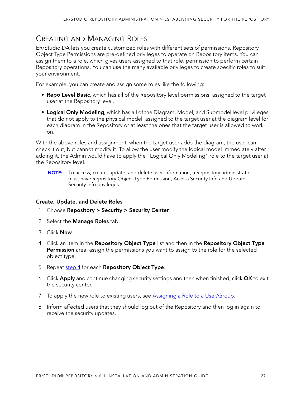# <span id="page-26-0"></span>CREATING AND MANAGING ROLES

ER/Studio DA lets you create customized roles with different sets of permissions. Repository Object Type Permissions are pre-defined privileges to operate on Repository items. You can assign them to a role, which gives users assigned to that role, permission to perform certain Repository operations. You can use the many available privileges to create specific roles to suit your environment.

For example, you can create and assign some roles like the following:

- Repo Level Basic, which has all of the Repository level permissions, assigned to the target user at the Repository level.
- Logical Only Modeling, which has all of the Diagram, Model, and Submodel level privileges that do not apply to the physical model, assigned to the target user at the diagram level for each diagram in the Repository or at least the ones that the target user is allowed to work on.

With the above roles and assignment, when the target user adds the diagram, the user can check it out, but cannot modify it. To allow the user modify the logical model immediately after adding it, the Admin would have to apply the "Logical Only Modeling" role to the target user at the Repository level.

NOTE: To access, create, update, and delete user information, a Repository administrator must have Repository Object Type Permission, Access Security Info and Update Security Info privileges.

## Create, Update, and Delete Roles

- 1 Choose Repository > Security > Security Center.
- 2 Select the **Manage Roles** tab.
- 3 Click New.
- <span id="page-26-1"></span>4 Click an item in the Repository Object Type list and then in the Repository Object Type **Permission** area, assign the permissions you want to assign to the role for the selected object type.
- 5 Repeat [step](#page-26-1) 4 for each Repository Object Type.
- 6 Click **Apply** and continue changing security settings and then when finished, click **OK** to exit the security center.
- 7 To apply the new role to existing users, see [Assigning a Role to a User/Group](#page-30-0).
- 8 Inform affected users that they should log out of the Repository and then log in again to receive the security updates.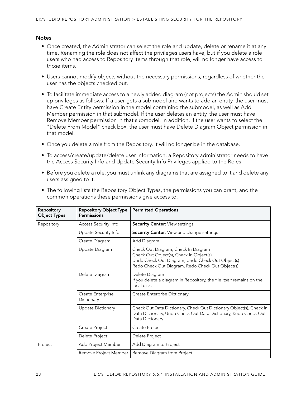#### **Notes**

- Once created, the Administrator can select the role and update, delete or rename it at any time. Renaming the role does not affect the privileges users have, but if you delete a role users who had access to Repository items through that role, will no longer have access to those items.
- Users cannot modify objects without the necessary permissions, regardless of whether the user has the objects checked out.
- To facilitate immediate access to a newly added diagram (not projects) the Admin should set up privileges as follows: If a user gets a submodel and wants to add an entity, the user must have Create Entity permission in the model containing the submodel, as well as Add Member permission in that submodel. If the user deletes an entity, the user must have Remove Member permission in that submodel. In addition, if the user wants to select the "Delete From Model" check box, the user must have Delete Diagram Object permission in that model.
- Once you delete a role from the Repository, it will no longer be in the database.
- To access/create/update/delete user information, a Repository administrator needs to have the Access Security Info and Update Security Info Privileges applied to the Roles.
- Before you delete a role, you must unlink any diagrams that are assigned to it and delete any users assigned to it.

| Repository<br><b>Object Types</b> | <b>Repository Object Type</b><br><b>Permissions</b> | <b>Permitted Operations</b>                                                                                                                                                            |
|-----------------------------------|-----------------------------------------------------|----------------------------------------------------------------------------------------------------------------------------------------------------------------------------------------|
| Repository                        | Access Security Info                                | <b>Security Center: View settings</b>                                                                                                                                                  |
|                                   | Update Security Info                                | Security Center: View and change settings                                                                                                                                              |
|                                   | Create Diagram                                      | Add Diagram                                                                                                                                                                            |
|                                   | Update Diagram                                      | Check Out Diagram, Check In Diagram<br>Check Out Object(s), Check In Object(s)<br>Undo Check Out Diagram, Undo Check Out Object(s)<br>Redo Check Out Diagram, Redo Check Out Object(s) |
|                                   | Delete Diagram                                      | Delete Diagram<br>If you delete a diagram in Repository, the file itself remains on the<br>local disk.                                                                                 |
|                                   | Create Enterprise<br>Dictionary                     | Create Enterprise Dictionary                                                                                                                                                           |
|                                   | <b>Update Dictionary</b>                            | Check Out Data Dictionary, Check Out Dictionary Object(s), Check In<br>Data Dictionary, Undo Check Out Data Dictionary, Redo Check Out<br>Data Dictionary                              |
|                                   | Create Project                                      | Create Project                                                                                                                                                                         |
|                                   | Delete Project:                                     | Delete Project                                                                                                                                                                         |
| Project                           | Add Project Member                                  | Add Diagram to Project                                                                                                                                                                 |
|                                   | Remove Project Member                               | Remove Diagram from Project                                                                                                                                                            |

• The following lists the Repository Object Types, the permissions you can grant, and the common operations these permissions give access to: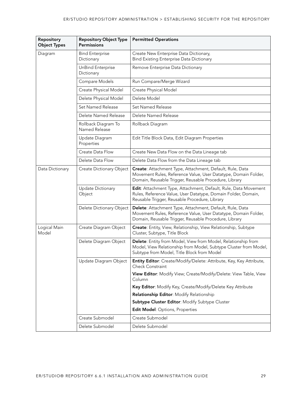| Repository<br><b>Object Types</b> | <b>Repository Object Type</b><br><b>Permissions</b> | <b>Permitted Operations</b>                                                                                                                                                         |
|-----------------------------------|-----------------------------------------------------|-------------------------------------------------------------------------------------------------------------------------------------------------------------------------------------|
| Diagram                           | <b>Bind Enterprise</b>                              | Create New Enterprise Data Dictionary,                                                                                                                                              |
|                                   | Dictionary                                          | <b>Bind Existing Enterprise Data Dictionary</b>                                                                                                                                     |
|                                   | <b>UnBind Enterprise</b><br>Dictionary              | Remove Enterprise Data Dictionary                                                                                                                                                   |
|                                   | Compare Models                                      | Run Compare/Merge Wizard                                                                                                                                                            |
|                                   | Create Physical Model                               | Create Physical Model                                                                                                                                                               |
|                                   | Delete Physical Model                               | Delete Model                                                                                                                                                                        |
|                                   | Set Named Release                                   | Set Named Release                                                                                                                                                                   |
|                                   | Delete Named Release                                | Delete Named Release                                                                                                                                                                |
|                                   | Rollback Diagram To<br>Named Release                | Rollback Diagram                                                                                                                                                                    |
|                                   | Update Diagram<br>Properties                        | Edit Title Block Data, Edit Diagram Properties                                                                                                                                      |
|                                   | Create Data Flow                                    | Create New Data Flow on the Data Lineage tab                                                                                                                                        |
|                                   | Delete Data Flow                                    | Delete Data Flow from the Data Lineage tab                                                                                                                                          |
| Data Dictionary                   | Create Dictionary Object                            | Create: Attachment Type, Attachment, Default, Rule, Data<br>Movement Rules, Reference Value, User Datatype, Domain Folder,<br>Domain, Reusable Trigger, Reusable Procedure, Library |
|                                   | <b>Update Dictionary</b><br>Object                  | Edit: Attachment Type, Attachment, Default, Rule, Data Movement<br>Rules, Reference Value, User Datatype, Domain Folder, Domain,<br>Reusable Trigger, Reusable Procedure, Library   |
|                                   | Delete Dictionary Object                            | Delete: Attachment Type, Attachment, Default, Rule, Data<br>Movement Rules, Reference Value, User Datatype, Domain Folder,<br>Domain, Reusable Trigger, Reusable Procedure, Library |
| Logical Main<br>Model             | Create Diagram Object                               | Create: Entity, View, Relationship, View Relationship, Subtype<br>Cluster, Subtype, Title Block                                                                                     |
|                                   | Delete Diagram Object                               | Delete: Entity from Model, View from Model, Relationship from<br>Model, View Relationship from Model, Subtype Cluster from Model,<br>Subtype from Model, Title Block from Model     |
|                                   | Update Diagram Object                               | Entity Editor: Create/Modify/Delete: Attribute, Key, Key Attribute,<br><b>Check Constraint</b>                                                                                      |
|                                   |                                                     | View Editor: Modify View; Create/Modify/Delete: View Table, View<br>Column                                                                                                          |
|                                   |                                                     | Key Editor: Modify Key, Create/Modify/Delete Key Attribute                                                                                                                          |
|                                   |                                                     | Relationship Editor: Modify Relationship                                                                                                                                            |
|                                   |                                                     | Subtype Cluster Editor: Modify Subtype Cluster                                                                                                                                      |
|                                   |                                                     | Edit Model: Options, Properties                                                                                                                                                     |
|                                   | Create Submodel                                     | Create Submodel                                                                                                                                                                     |
|                                   | Delete Submodel                                     | Delete Submodel                                                                                                                                                                     |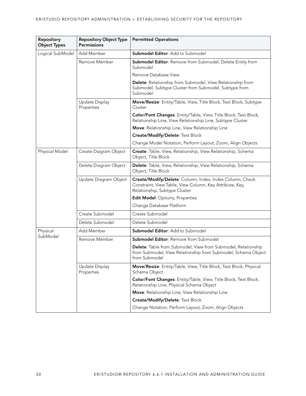| Repository<br><b>Object Types</b> | <b>Repository Object Type</b><br><b>Permissions</b> | <b>Permitted Operations</b>                                                                                                                           |  |  |
|-----------------------------------|-----------------------------------------------------|-------------------------------------------------------------------------------------------------------------------------------------------------------|--|--|
| Logical SubModel                  | Add Member                                          | Submodel Editor: Add to Submodel                                                                                                                      |  |  |
|                                   | Remove Member                                       | Submodel Editor: Remove from Submodel, Delete Entity from<br>Submodel                                                                                 |  |  |
|                                   |                                                     | Remove Database View                                                                                                                                  |  |  |
|                                   |                                                     | Delete: Relationship from Submodel, View Relationship from<br>Submodel, Subtype Cluster from Submodel, Subtype from<br>Submodel                       |  |  |
|                                   | Update Display<br>Properties                        | Move/Resize: Entity/Table, View, Title Block, Text Block, Subtype<br>Cluster                                                                          |  |  |
|                                   |                                                     | Color/Font Changes: Entity/Table, View, Title Block, Text Block,<br>Relationship Line, View Relationship Line, Subtype Cluster                        |  |  |
|                                   |                                                     | Move: Relationship Line, View Relationship Line                                                                                                       |  |  |
|                                   |                                                     | Create/Modify/Delete: Text Block                                                                                                                      |  |  |
|                                   |                                                     | Change Model Notation, Perform Layout, Zoom, Align Objects                                                                                            |  |  |
| Physical Model                    | Create Diagram Object                               | Create: Table, View, Relationship, View Relationship, Schema<br>Object, Title Block                                                                   |  |  |
|                                   | Delete Diagram Object                               | Delete: Table, View, Relationship, View Relationship, Schema<br>Object, Title Block                                                                   |  |  |
|                                   | Update Diagram Object                               | Create/Modify/Delete: Column, Index, Index Column, Check<br>Constraint, View Table, View Column, Key Attribute, Key,<br>Relationship, Subtype Cluster |  |  |
|                                   |                                                     | Edit Model: Options, Properties                                                                                                                       |  |  |
|                                   |                                                     | Change Database Platform                                                                                                                              |  |  |
|                                   | Create Submodel                                     | Create Submodel                                                                                                                                       |  |  |
|                                   | Delete Submodel                                     | Delete Submodel                                                                                                                                       |  |  |
| Physical                          | Add Member                                          | Submodel Editor: Add to Submodel                                                                                                                      |  |  |
| SubModel                          | Remove Member                                       | Submodel Editor: Remove from Submodel                                                                                                                 |  |  |
|                                   |                                                     | Delete: Table from Submodel, View from Submodel, Relationship<br>from Submodel, View Relationship from Submodel, Schema Object<br>from Submodel       |  |  |
|                                   | Update Display<br>Properties                        | Move/Resize: Entity/Table, View, Title Block, Text Block, Physical<br>Schema Object                                                                   |  |  |
|                                   |                                                     | Color/Font Changes: Entity/Table, View, Title Block, Text Block,<br>Relationship Line, Physical Schema Object                                         |  |  |
|                                   |                                                     | Move: Relationship Line, View Relationship Line                                                                                                       |  |  |
|                                   |                                                     | Create/Modify/Delete: Text Block                                                                                                                      |  |  |
|                                   |                                                     | Change Notation, Perform Layout, Zoom, Align Objects                                                                                                  |  |  |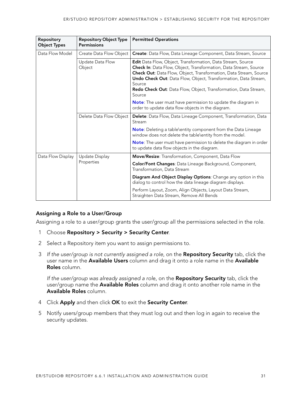| Repository<br><b>Object Types</b> | <b>Repository Object Type</b><br><b>Permissions</b> | <b>Permitted Operations</b>                                                                                                                                                                                                                                                                                                                                           |
|-----------------------------------|-----------------------------------------------------|-----------------------------------------------------------------------------------------------------------------------------------------------------------------------------------------------------------------------------------------------------------------------------------------------------------------------------------------------------------------------|
| Data Flow Model                   | Create Data Flow Object                             | Create: Data Flow, Data Lineage Component, Data Stream, Source                                                                                                                                                                                                                                                                                                        |
|                                   | Update Data Flow<br>Object                          | Edit Data Flow, Object, Transformation, Data Stream, Source<br>Check In: Data Flow, Object, Transformation, Data Stream, Source<br>Check Out: Data Flow, Object, Transformation, Data Stream, Source<br>Undo Check Out: Data Flow, Object, Transformation, Data Stream,<br>Source<br><b>Redo Check Out:</b> Data Flow, Object, Transformation, Data Stream,<br>Source |
|                                   |                                                     | Note: The user must have permission to update the diagram in<br>order to update data flow objects in the diagram.                                                                                                                                                                                                                                                     |
|                                   | Delete Data Flow Object                             | Delete: Data Flow, Data Lineage Component, Transformation, Data<br>Stream                                                                                                                                                                                                                                                                                             |
|                                   |                                                     | Note: Deleting a table\entity component from the Data Lineage<br>window does not delete the table\entity from the model.                                                                                                                                                                                                                                              |
|                                   |                                                     | Note: The user must have permission to delete the diagram in order<br>to update data flow objects in the diagram.                                                                                                                                                                                                                                                     |
| Data Flow Display                 | Update Display                                      | Move/Resize: Transformation, Component, Data Flow                                                                                                                                                                                                                                                                                                                     |
|                                   | Properties                                          | Color/Font Changes: Data Lineage Background, Component,<br>Transformation, Data Stream                                                                                                                                                                                                                                                                                |
|                                   |                                                     | Diagram And Object Display Options: Change any option in this<br>dialog to control how the data lineage diagram displays.                                                                                                                                                                                                                                             |
|                                   |                                                     | Perform Layout, Zoom, Align Objects, Layout Data Stream,<br>Straighten Data Stream, Remove All Bends                                                                                                                                                                                                                                                                  |

## <span id="page-30-0"></span>Assigning a Role to a User/Group

Assigning a role to a user/group grants the user/group all the permissions selected in the role.

- 1 Choose Repository > Security > Security Center.
- 2 Select a Repository item you want to assign permissions to.
- 3 If the user/group is not currently assigned a role, on the Repository Security tab, click the user name in the Available Users column and drag it onto a role name in the Available Roles column.

If the user/group was already assigned a role, on the Repository Security tab, click the user/group name the **Available Roles** column and drag it onto another role name in the Available Roles column.

- 4 Click Apply and then click OK to exit the Security Center.
- 5 Notify users/group members that they must log out and then log in again to receive the security updates.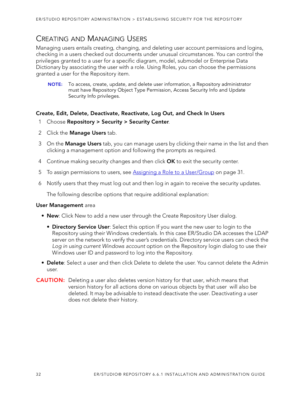## <span id="page-31-0"></span>CREATING AND MANAGING USERS

Managing users entails creating, changing, and deleting user account permissions and logins, checking in a users checked out documents under unusual circumstances. You can control the privileges granted to a user for a specific diagram, model, submodel or Enterprise Data Dictionary by associating the user with a role. Using Roles, you can choose the permissions granted a user for the Repository item.

NOTE: To access, create, update, and delete user information, a Repository administrator must have Repository Object Type Permission, Access Security Info and Update Security Info privileges.

#### Create, Edit, Delete, Deactivate, Reactivate, Log Out, and Check In Users

- 1 Choose Repository > Security > Security Center.
- 2 Click the **Manage Users** tab.
- 3 On the **Manage Users** tab, you can manage users by clicking their name in the list and then clicking a management option and following the prompts as required.
- 4 Continue making security changes and then click OK to exit the security center.
- 5 To assign permissions to users, see [Assigning a Role to a User/Group on page](#page-30-0) 31.
- 6 Notify users that they must log out and then log in again to receive the security updates.

The following describe options that require additional explanation:

#### User Management area

- New: Click New to add a new user through the Create Repository User dialog.
	- Directory Service User: Select this option If you want the new user to login to the Repository using their Windows credentials. In this case ER/Studio DA accesses the LDAP server on the network to verify the user's credentials. Directory service users can check the Log in using current Windows account option on the Repository login dialog to use their Windows user ID and password to log into the Repository.
- Delete: Select a user and then click Delete to delete the user. You cannot delete the Admin user.
- **CAUTION:** Deleting a user also deletes version history for that user, which means that version history for all actions done on various objects by that user will also be deleted. It may be advisable to instead deactivate the user. Deactivating a user does not delete their history.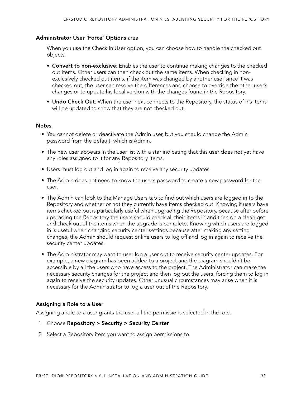#### Administrator User 'Force' Options area:

When you use the Check In User option, you can choose how to handle the checked out objects.

- Convert to non-exclusive: Enables the user to continue making changes to the checked out items. Other users can then check out the same items. When checking in nonexclusively checked out items, if the item was changed by another user since it was checked out, the user can resolve the differences and choose to override the other user's changes or to update his local version with the changes found in the Repository.
- Undo Check Out: When the user next connects to the Repository, the status of his items will be updated to show that they are not checked out.

#### **Notes**

- You cannot delete or deactivate the Admin user, but you should change the Admin password from the default, which is Admin.
- The new user appears in the user list with a star indicating that this user does not yet have any roles assigned to it for any Repository items.
- Users must log out and log in again to receive any security updates.
- The Admin does not need to know the user's password to create a new password for the user.
- The Admin can look to the Manage Users tab to find out which users are logged in to the Repository and whether or not they currently have items checked out. Knowing if users have items checked out is particularly useful when upgrading the Repository, because after before upgrading the Repository the users should check all their items in and then do a clean get and check out of the items when the upgrade is complete. Knowing which users are logged in is useful when changing security center settings because after making any setting changes, the Admin should request online users to log off and log in again to receive the security center updates.
- The Administrator may want to user log a user out to receive security center updates. For example, a new diagram has been added to a project and the diagram shouldn't be accessible by all the users who have access to the project. The Administrator can make the necessary security changes for the project and then log out the users, forcing them to log in again to receive the security updates. Other unusual circumstances may arise when it is necessary for the Administrator to log a user out of the Repository.

## Assigning a Role to a User

Assigning a role to a user grants the user all the permissions selected in the role.

- 1 Choose Repository > Security > Security Center.
- 2 Select a Repository item you want to assign permissions to.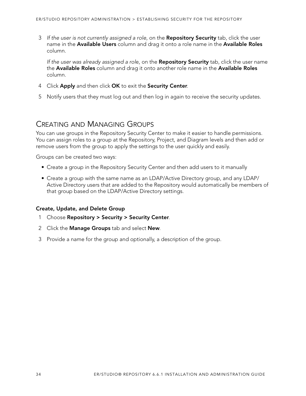3 If the user is not currently assigned a role, on the **Repository Security** tab, click the user name in the **Available Users** column and drag it onto a role name in the **Available Roles** column.

If the user was already assigned a role, on the **Repository Security** tab, click the user name the **Available Roles** column and drag it onto another role name in the **Available Roles** column.

- 4 Click Apply and then click OK to exit the Security Center.
- 5 Notify users that they must log out and then log in again to receive the security updates.

## <span id="page-33-0"></span>CREATING AND MANAGING GROUPS

You can use groups in the Repository Security Center to make it easier to handle permissions. You can assign roles to a group at the Repository, Project, and Diagram levels and then add or remove users from the group to apply the settings to the user quickly and easily.

Groups can be created two ways:

- Create a group in the Repository Security Center and then add users to it manually
- Create a group with the same name as an LDAP/Active Directory group, and any LDAP/ Active Directory users that are added to the Repository would automatically be members of that group based on the LDAP/Active Directory settings.

## Create, Update, and Delete Group

- 1 Choose Repository > Security > Security Center.
- 2 Click the Manage Groups tab and select New.
- 3 Provide a name for the group and optionally, a description of the group.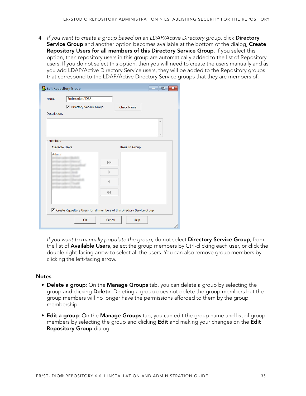4 If you want to create a group based on an LDAP/Active Directory group, click Directory Service Group and another option becomes available at the bottom of the dialog, Create Repository Users for all members of this Directory Service Group. If you select this option, then repository users in this group are automatically added to the list of Repository users. If you do not select this option, then you will need to create the users manually and as you add LDAP/Active Directory Service users, they will be added to the Repository groups that correspond to the LDAP/Active Directory Service groups that they are members of.

| <b>B</b> Edit Repository Group |                                                                                         |                                          |                       | $\begin{array}{c c c c} \hline \multicolumn{3}{c }{\textbf{0}} & \multicolumn{3}{c }{\textbf{0}} \\\hline \multicolumn{3}{c }{\textbf{0}} & \multicolumn{3}{c }{\textbf{0}} \\\hline \multicolumn{3}{c }{\textbf{0}} & \multicolumn{3}{c }{\textbf{0}} \\\hline \multicolumn{3}{c }{\textbf{0}} & \multicolumn{3}{c }{\textbf{0}} \\\hline \multicolumn{3}{c }{\textbf{0}} & \multicolumn{3}{c }{\textbf{0}} \\\hline \multicolumn{3}{c }{\textbf{0}} & \mult$<br>× |
|--------------------------------|-----------------------------------------------------------------------------------------|------------------------------------------|-----------------------|---------------------------------------------------------------------------------------------------------------------------------------------------------------------------------------------------------------------------------------------------------------------------------------------------------------------------------------------------------------------------------------------------------------------------------------------------------------------|
| Name:                          | Embacadero\DBA                                                                          |                                          |                       |                                                                                                                                                                                                                                                                                                                                                                                                                                                                     |
|                                | Directory Service Group                                                                 |                                          | <b>Check Name</b>     |                                                                                                                                                                                                                                                                                                                                                                                                                                                                     |
| Description:                   |                                                                                         |                                          |                       |                                                                                                                                                                                                                                                                                                                                                                                                                                                                     |
|                                |                                                                                         |                                          |                       |                                                                                                                                                                                                                                                                                                                                                                                                                                                                     |
|                                |                                                                                         |                                          |                       |                                                                                                                                                                                                                                                                                                                                                                                                                                                                     |
| <b>Members</b>                 |                                                                                         |                                          |                       |                                                                                                                                                                                                                                                                                                                                                                                                                                                                     |
| <b>Available Users</b>         |                                                                                         |                                          | <b>Users In Group</b> |                                                                                                                                                                                                                                                                                                                                                                                                                                                                     |
| Admin                          |                                                                                         |                                          |                       |                                                                                                                                                                                                                                                                                                                                                                                                                                                                     |
|                                |                                                                                         | $\blacktriangleright\blacktriangleright$ |                       |                                                                                                                                                                                                                                                                                                                                                                                                                                                                     |
|                                |                                                                                         |                                          |                       |                                                                                                                                                                                                                                                                                                                                                                                                                                                                     |
|                                |                                                                                         |                                          |                       |                                                                                                                                                                                                                                                                                                                                                                                                                                                                     |
|                                |                                                                                         |                                          |                       |                                                                                                                                                                                                                                                                                                                                                                                                                                                                     |
|                                |                                                                                         | 44                                       |                       |                                                                                                                                                                                                                                                                                                                                                                                                                                                                     |
|                                |                                                                                         |                                          |                       |                                                                                                                                                                                                                                                                                                                                                                                                                                                                     |
|                                | $\triangledown$ Create Repository Users for all members of this Directory Service Group |                                          |                       |                                                                                                                                                                                                                                                                                                                                                                                                                                                                     |
|                                | OK                                                                                      | Cancel                                   | Help                  |                                                                                                                                                                                                                                                                                                                                                                                                                                                                     |
|                                |                                                                                         |                                          |                       |                                                                                                                                                                                                                                                                                                                                                                                                                                                                     |

If you want to manually populate the group, do not select **Directory Service Group**, from the list of **Available Users**, select the group members by Ctrl-clicking each user, or click the double right-facing arrow to select all the users. You can also remove group members by clicking the left-facing arrow.

## **Notes**

- Delete a group: On the Manage Groups tab, you can delete a group by selecting the group and clicking **Delete**. Deleting a group does not delete the group members but the group members will no longer have the permissions afforded to them by the group membership.
- Edit a group: On the Manage Groups tab, you can edit the group name and list of group members by selecting the group and clicking **Edit** and making your changes on the **Edit** Repository Group dialog.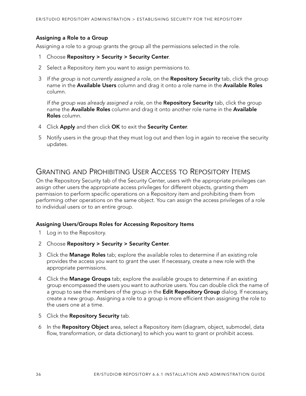## Assigning a Role to a Group

Assigning a role to a group grants the group all the permissions selected in the role.

- 1 Choose Repository > Security > Security Center.
- 2 Select a Repository item you want to assign permissions to.
- 3 If the group is not currently assigned a role, on the **Repository Security** tab, click the group name in the Available Users column and drag it onto a role name in the Available Roles column.

If the group was already assigned a role, on the **Repository Security** tab, click the group name the **Available Roles** column and drag it onto another role name in the **Available** Roles column.

- 4 Click Apply and then click OK to exit the Security Center.
- 5 Notify users in the group that they must log out and then log in again to receive the security updates.

## <span id="page-35-0"></span>GRANTING AND PROHIBITING USER ACCESS TO REPOSITORY ITEMS

On the Repository Security tab of the Security Center, users with the appropriate privileges can assign other users the appropriate access privileges for different objects, granting them permission to perform specific operations on a Repository item and prohibiting them from performing other operations on the same object. You can assign the access privileges of a role to individual users or to an entire group.

## Assigning Users/Groups Roles for Accessing Repository Items

- 1 Log in to the Repository.
- 2 Choose Repository > Security > Security Center.
- 3 Click the **Manage Roles** tab; explore the available roles to determine if an existing role provides the access you want to grant the user. If necessary, create a new role with the appropriate permissions.
- 4 Click the **Manage Groups** tab; explore the available groups to determine if an existing group encompassed the users you want to authorize users. You can double click the name of a group to see the members of the group in the **Edit Repository Group** dialog. If necessary, create a new group. Assigning a role to a group is more efficient than assigning the role to the users one at a time.
- 5 Click the **Repository Security** tab.
- 6 In the Repository Object area, select a Repository item (diagram, object, submodel, data flow, transformation, or data dictionary) to which you want to grant or prohibit access.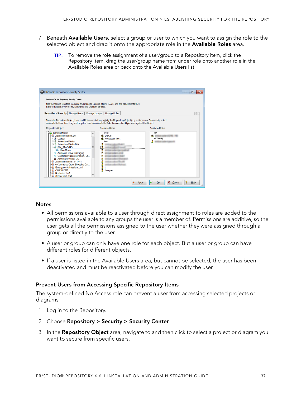- 7 Beneath **Available Users**, select a group or user to which you want to assign the role to the selected object and drag it onto the appropriate role in the **Available Roles** area.
	- TIP: To remove the role assignment of a user/group to a Repository item, click the Repository item, drag the user/group name from under role onto another role in the Available Roles area or back onto the Available Users list.

| have to Repository Projects, Diagrams and Diagram objects.                                                                                                                                                                                                                                                                                                                                                       | Use the tabbed Interface to create and manage Groups, Users, Roles, and the assignments they                                 |                           |
|------------------------------------------------------------------------------------------------------------------------------------------------------------------------------------------------------------------------------------------------------------------------------------------------------------------------------------------------------------------------------------------------------------------|------------------------------------------------------------------------------------------------------------------------------|---------------------------|
| Repository Security   Manage Users   Manage Groups   Manage Roles                                                                                                                                                                                                                                                                                                                                                |                                                                                                                              | FΓ                        |
| To create Repository Object, User and Role associations, highlight a Repository Object (e.g. a diagram or Submodel), select<br>an Available User then drag and drop the user to an Available Role the user should perform against the Object,<br><b>Repository Object</b>                                                                                                                                        | Available Users                                                                                                              | <b>Available Roles</b>    |
| Sample Models<br>21 Adventure Works.DM1<br>Ė<br>Logical<br><sup>E.</sup> Adventure Works<br>-B Adventure Works DW<br><b>AW STAGING</b><br>-B Main Model<br>ad Address Extract to Staging<br>at] Geography Transformation / Lo<br>-@ Adventure Works DD<br>中国 Adventure Works JH.DM1<br>e- <sup>0</sup> e-Commerce Order Shopping Car<br>Emergency Admissions.dm1<br>GIMDB.DM1<br>Northwind.dm1<br>OrangeMart dm1 | <b>Groups</b><br><b>BR</b> DBAIe<br><b>R</b> No Access lest<br>Userz<br>Ξ<br>d<br>ŝ<br>G<br>ş<br>ş<br>ŝ<br>ä<br>ā<br>Jacquie | DBA<br><b>No Security</b> |

#### **Notes**

- All permissions available to a user through direct assignment to roles are added to the permissions available to any groups the user is a member of. Permissions are additive, so the user gets all the permissions assigned to the user whether they were assigned through a group or directly to the user.
- A user or group can only have one role for each object. But a user or group can have different roles for different objects.
- If a user is listed in the Available Users area, but cannot be selected, the user has been deactivated and must be reactivated before you can modify the user.

#### Prevent Users from Accessing Specific Repository Items

The system-defined No Access role can prevent a user from accessing selected projects or diagrams

- 1 Log in to the Repository.
- 2 Choose Repository > Security > Security Center.
- <span id="page-36-0"></span>3 In the Repository Object area, navigate to and then click to select a project or diagram you want to secure from specific users.